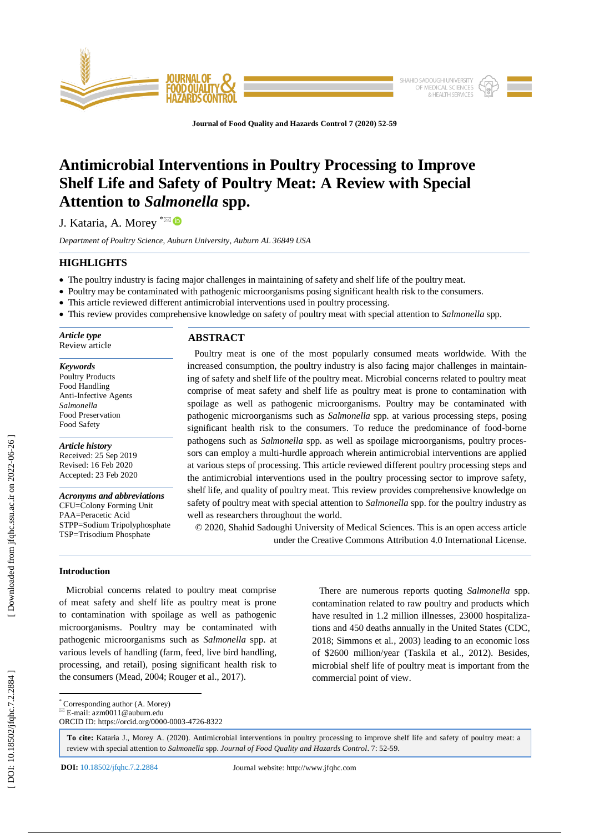

**Journal of Food Quality and Hazards Control 7 (2020) 52 -59**

# **Antimicrobial Interventions in Poultry Processing to Improve Shelf Life and Safety of Poultry Meat: A Review with Special Attention to** *Salmonella* **spp.**

J. Kataria, A. Morey <sup>\*⊠</sup>

*Department of Poultry Science, Auburn University, Auburn AL 36849 USA*

# **HIGHLIGHTS**

- The poultry industry is facing major challenges in maintaining of safety and shelf life of the poultry meat.
- Poultry may be contaminated with pathogenic microorganisms posing significant health risk to the consumers.
- This article reviewed different antimicrobial interventions used in poultry processing.
- This review provides comprehensive knowledge on safety of poultry meat with special attention to *Salmonella* spp.

| Article type<br>Review article | <b>ABSTRACT</b>                                                              |  |
|--------------------------------|------------------------------------------------------------------------------|--|
|                                | Poultry meat is one of the most popularly consumed meats worldwide. With the |  |

*Keywords* Poultry Products Food Handling Anti -Infective Agents *Salmonella* Food Preservation Food Safety

*Article history* Received: 25 Sep 2019 Revised: 16 Feb 2020 Accepted: 23 Feb 2020

*Acronyms and abbreviations* CFU=Colony Forming Unit PAA=Peracetic Acid STPP=Sodium Tripolyphosphate TSP=Trisodium Phosphate

increased consumption, the poultry industry is also facing major challenges in maintaining of safety and shelf life of the poultry meat. Microbial concerns related to poultry meat comprise of meat safety and shelf life as poultry meat is prone to contamination with spoilage as well as pathogenic microorganisms. Poultry may be contaminated with pathogenic microorganisms such as *Salmonella* spp. at various processing steps, posing significant health risk to the consumers. To reduce the predominance of food -borne pathogens such as *Salmonella* spp. as well as spoilage microorganisms, poultry processors can employ a multi-hurdle approach wherein antimicrobial interventions are applied at various steps of processing. This article reviewed different poultry processing steps and the antimicrobial interventions used in the poultry processing sector to improve safety, shelf life, and quality of poultry meat. This review provides comprehensive knowledge on safety of poultry meat with special attention to *Salmonella* spp. for the poultry industry as well as researchers throughout the world.

© 2020, Shahid Sadoughi University of Medical Sciences. This is an open access article under the Creative Commons Attribution 4.0 International License.

# **Introduction**

 Microbial concerns related to poultry meat comprise of meat safety and shelf life as poultry meat is prone to contamination with spoilage as well as pathogenic microorganisms. Poultry may be contaminated with pathogenic microorganisms such as *Salmonella* spp. at various levels of handling (farm, feed, live bird handling, processing, and retail), posing significant health risk to the consumers (Mead, 2004; Rouger et al., 2017 ).

 There are numerous reports quoting *Salmonella* spp. contamination related to raw poultry and products which have resulted in 1.2 million illnesses, 23000 hospitalizations and 450 deaths annually in the United States (CDC, 2018; Simmons et al *.*, 2003) leading to an economic loss of \$2600 million/year (Taskila et al ., 2012). Besides, microbial shelf life of poultry meat is important from the commercial point of view.

\* Corresponding author (A. Morey)

**To cite:** Kataria J., Morey A. (2020). Antimicrobial interventions in poultry processing to improve shelf life and safety of poultry meat: a review with special attention to *Salmonella* spp. *Journal of Food Quality and Hazards Control*. 7: 52 -59 .

**DOI:** 10.18502/jfqhc.7.2.2884

 $E$ -mail: azm0011@auburn.edu ORCID ID: https://orcid.org/0000 -0003 -4726 -8322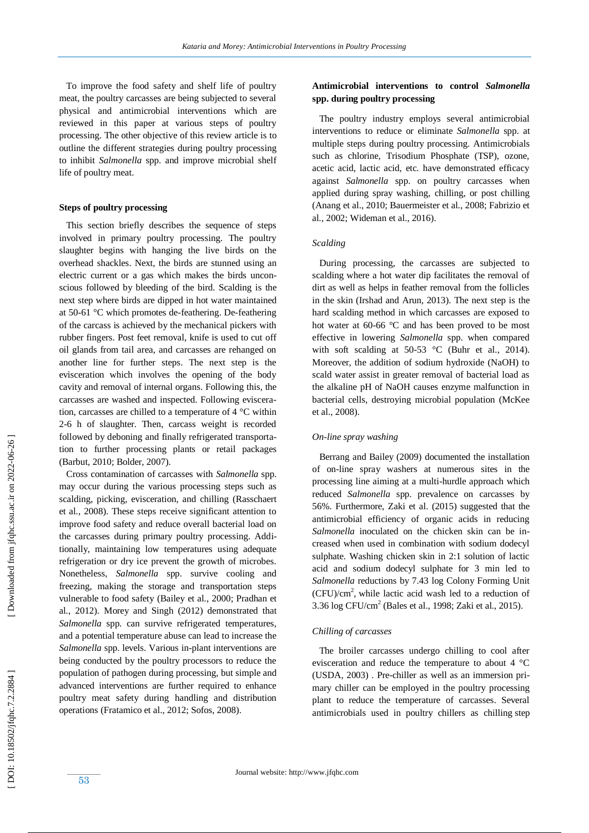To improve the food safety and shelf life of poultry meat, the poultry carcasses are being subjected to several physical and antimicrobial interventions which are reviewed in this paper at various steps of poultry processing. The other objective of this review article is to outline the different strategies during poultry processing to inhibit *Salmonella* spp. and improve microbial shelf life of poultry meat.

#### **Steps of poultry processing**

 This section briefly describes the sequence of steps involved in primary poultry processing. The poultry slaughter begins with hanging the live birds on the overhead shackles. Next, the birds are stunned using an electric current or a gas which makes the birds unconscious followed by bleeding of the bird. Scalding is the next step where birds are dipped in hot water maintained at 50 -61 °C which promotes de -feathering. De -feathering of the carcass is achieved by the mechanical pickers with rubber fingers. Post feet removal, knife is used to cut off oil glands from tail area, and carcasses are rehanged on another line for further steps. The next step is the evisceration which involves the opening of the body cav ity and removal of internal organs. Following this, the carcasses are washed and inspected. Following evisceration, carcasses are chilled to a temperature of 4 °C within 2-6 h of slaughter. Then, carcass weight is recorded followed by deboning and finally refrigerated transportation to further processing plants or retail packages (Barbut, 2010; Bolder, 2007) .

 Cross contamination of carcasses with *Salmonella* spp. may occur during the various processing steps such as scalding, picking, evisceration, and chilling (Rasschaert et al *.*, 2008). These steps receive significant attention to improve food safety and reduce overall bacterial load on the carcasses during primary poultry processing. Additionally, maintaining low temperatures using adequate refrigeration or dry ice prevent the growth of microbes. Nonetheless, *Salmonella* spp. survive cooling and freezing, making the storage and transportation steps vulnerable to food safety (Bailey et al *.*, 2000; Pradhan et al *.*, 2012). Morey and Singh (2012) demonstrated that *Salmonella* spp. can survive refrigerated temperatures, and a potential temperature abuse can lead to increase the Salmonella spp. levels. Various in-plant interventions are being conducted by the poultry processors to reduce the population of pathogen during processing, but simple and advanced interventions are further required to enhance poultry meat safety during handling and distribution operations (Fratamico et al., 2012; Sofos, 2008 ) .

# **Antimicrobial interventions to control** *Salmonella* **spp. during poultry processing**

 The poultry industry employs several antimicrobial interventions to reduce or eliminate *Salmonella* spp. at multiple steps during poultry processing. Antimicrobials such as chlorine, Trisodium Phosphate (TSP), ozone, acetic acid, lactic acid, etc. have demonstrated efficacy against *Salmonella* spp. on poultry carcasses when applied during spray washing, chilling, or post chilling (Anang et al ., 2010 ; Bauermeister et al *.*, 2008 ; Fabrizio et al *.*, 2002; Wideman et al ., 2016 ).

#### *Scalding*

 During processing, the carcasses are subjected to scalding where a hot water dip facilitates the removal of dirt as well as helps in feather removal from the follicles in the skin (Irshad and Arun, 2013). The next step is the hard scalding method in which carcasses are exposed to hot water at 60-66 °C and has been proved to be most effective in lowering *Salmonella* spp. when compared with soft scalding at  $50-53$  °C (Buhr et al., 2014). Moreover, the addition of sodium hydroxide (NaOH) to scald water assist in greater removal of bacterial load as the alkaline pH of NaOH causes enzyme malfunction in bacterial cells, destroying microbial population (McKee et al., 2008) .

## *On -line spray washing*

 Berrang and Bailey (2009) documented the installation of on -line spray washers at numerous sites in the processing line aiming at a multi -hurdle approach which reduced *Salmonella* spp. prevalence on carcasses by 56%. Furthermore, Zaki et al. (2015) suggested that the antimicrobial efficiency of organic acids in reducing *Salmonella* inoculated on the chicken skin can be increased when used in combination with sodium dodecyl sulphate. Washing chicken skin in 2:1 solution of lactic acid and sodium dodecyl sulphate for 3 min led to *Salmonella* reductions by 7.43 log Colony Forming Unit (CFU)/cm 2 , while lactic acid wash led to a reduction of  $3.36 \log CFU/cm^2$  (Bales et al., 1998; Zaki et al., 2015).

## *Chilling of carcasses*

 The broiler carcasses undergo chilling to cool after evisceration and reduce the temperature to about 4 °C (USDA, 2003) . Pre -chiller as well as an immersion primary chiller can be employed in the poultry processing plant to reduce the temperature of carcasses. Several antimicrobials used in poultry chillers as chilling step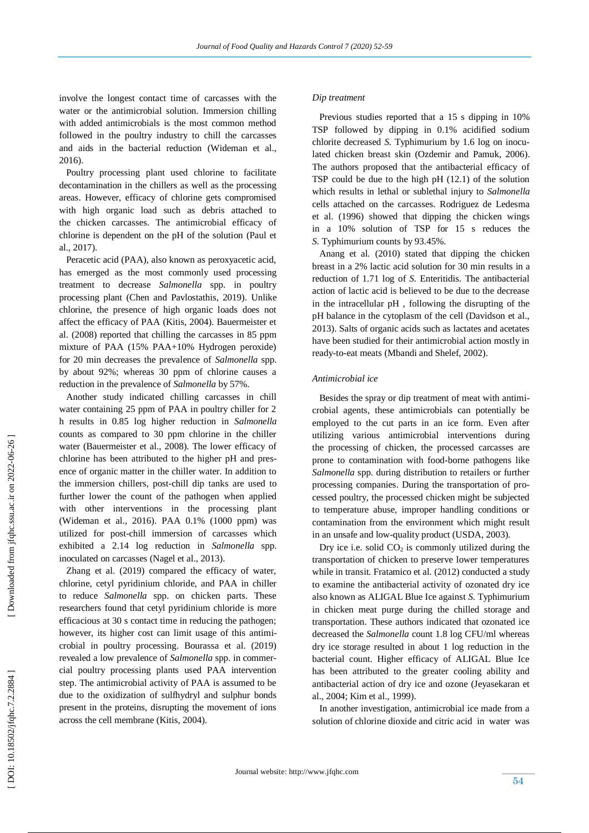involve the longest contact time of carcasses with the water or the antimicrobial solution. Immersion chilling with added antimicrobials is the most common method followed in the poultry industry to chill the carcasses and aids in the bacterial reduction (Wideman et al., 2016).

 Poultry processing plant used chlorine to facilitate decontamination in the chillers as well as the processing areas. However, efficacy of chlorine gets compromised with high organic load such as debris attached to the chicken carcasses. The antimicrobial efficacy of chlorine is dependent on the pH of the solution (Paul et al., 2017).

 Peracetic acid (PAA), also known as peroxyacetic acid, has emerged as the most commonly used processing treatment to decrease *Salmonella* spp. in poultry processing plant (Chen and Pavlostathis, 2019). Unlike chlorine, the presence of high organic loads does not affect the efficacy of PAA (Kitis, 2004). Bauermeister et al. (2008) reported that chilling the carcasses in 85 ppm mixture of PAA (15% PAA+10% Hydrogen peroxide) for 20 min decreases the prevalence of *Salmonella* spp. by about 92%; whereas 30 ppm of chlorine causes a reduction in the prevalence of *Salmonella* by 57%.

 Another study indicated chilling carcasses in chill water containing 25 ppm of PAA in poultry chiller for 2 h results in 0.85 log higher reduction in *Salmonella*  counts as compared to 30 ppm chlorine in the chiller water (Bauermeister et al., 2008). The lower efficacy of chlorine has been attributed to the higher pH and presence of organic matter in the chiller water. In addition to the immersion chillers, post -chill dip tanks are used to further lower the count of the pathogen when applied with other interventions in the processing plant (Wideman et al ., 2016). PAA 0.1% (1000 ppm) was utilized for post -chill immersion of carcasses which exhibited a 2.14 log reduction in *Salmonella* spp. inoculated on carcasses (Nagel et al ., 2013).

 Zhang et al. (2019) compared the efficacy of water, chlorine, cetyl pyridinium chloride, and PAA in chiller to reduce *Salmonella* spp. on chicken parts. These researchers found that cetyl pyridinium chloride is more efficacious at 30 s contact time in reducing the pathogen; however, its higher cost can limit usage of this antimicrobial in poultry processing. Bourassa et al. (2019) revealed a low prevalence of *Salmonella* spp. in commercial poultry processing plants used PAA intervention step. The antimicrobial activity of PAA is assumed to be due to the oxidization of sulfhydryl and sulphur bonds present in the proteins, disrupting the movement of ions across the cell membrane (Kitis, 2004).

### *Dip treatment*

 Previous studies reported that a 15 s dipping in 10% TSP followed by dipping in 0.1% acidified sodium chlorite decreased *S .* Typhimurium by 1.6 log on inoculated chicken breast skin (Ozdemir and Pamuk, 2006). The authors proposed that the antibacterial efficacy of TSP could be due to the high pH (12.1) of the solution which results in lethal or sublethal injury to *Salmonella* cells attached on the carcasses. Rodriguez de Ledesma et al. (1996) showed that dipping the chicken wings in a 10% solution of TSP for 15 s reduces the *S.* Typhimurium counts by 93.45%.

Anang et al. (2010) stated that dipping the chicken breast in a 2% lactic acid solution for 30 min results in a reduction of 1.71 log of *S.* Enteritidis *.* The antibacterial action of lactic acid is believed to be due to the decrease in the intracellular pH , following the disrupting of the pH balance in the cytoplasm of the cell (Davidson et al., 2013). Salts of organic acids such as lactates and acetates have been studied for their antimicrobial action mostly in ready -to -eat meats (Mbandi and Shelef, 2002).

#### *Antimicrobial ice*

 Besides the spray or dip treatment of meat with antimicrobial agents, these antimicrobials can potentially be employed to the cut parts in an ice form. Even after utilizing various antimicrobial interventions during the processing of chicken, the processed carcasses are prone to contamination with food -borne pathogens like *Salmonella* spp. during distribution to retailers or further processing companies. During the transportation of processed poultry, the processed chicken might be subjected to temperature abuse, improper handling conditions or contamination from the environment which might result in an unsafe and low -quality product (USDA, 2003).

Dry ice i.e. solid  $CO<sub>2</sub>$  is commonly utilized during the transportation of chicken to preserve lower temperatures while in transit. Fratamico et al. (2012) conducted a study to examine the antibacterial activity of ozonated dry ice also known as ALIGAL Blue Ice against *S.* Typhimurium in chicken meat purge during the chilled storage and transportation. These authors indicated that ozonated ice decreased the *Salmonella* count 1.8 log CFU/ml whereas dry ice storage resulted in about 1 log reduction in the bacterial count. Higher efficacy of ALIGAL Blue Ice has been attributed to the greater cooling ability and antibacterial action of dry ice and ozone (Jeyasekaran et al ., 2004; Kim et al., 1999).

 In another investigation, antimicrobial ice made from a solution of chlorine dioxide and citric acid in water was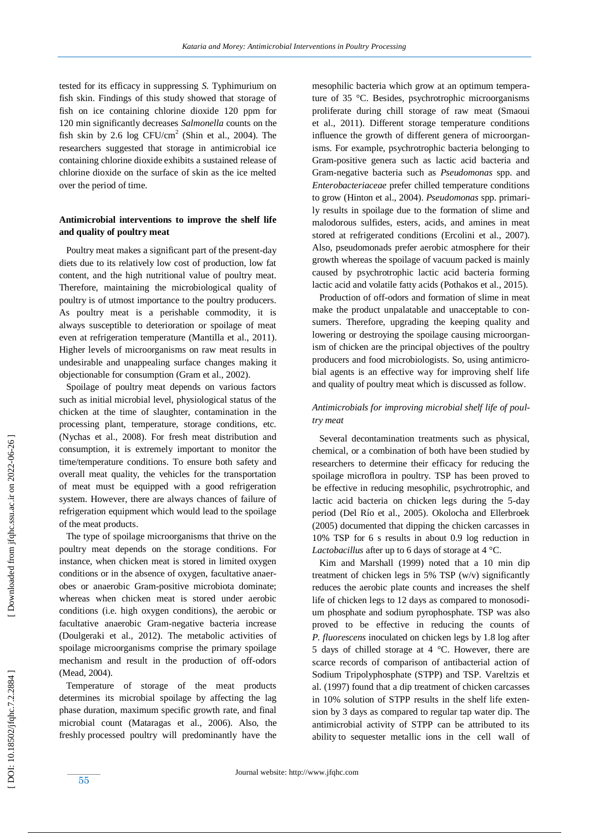tested for its efficacy in suppressing *S.* Typhimurium on fish skin. Findings of this study showed that storage of fish on ice containing chlorine dioxide 120 ppm for 120 min significantly decreases *Salmonella* counts on the fish skin by 2.6  $\log$  CFU/cm<sup>2</sup> (Shin et al., 2004). The researchers suggested that storage in antimicrobial ice containing chlorine dioxide exhibits a sustained release of chlorine dioxide on the surface of skin as the ice melted over the period of time.

## **Antimicrobial interventions to improve the shelf life and quality of poultry meat**

 Poultry meat makes a significant part of the present -day diets due to its relatively low cost of production, low fat content, and the high nutritional value of poultry meat. Therefore, maintaining the microbiological quality of poultry is of utmost importance to the poultry producers. As poultry meat is a perishable commodity, it is always susceptible to deterioration or spoilage of meat even at refrigeration temperature (Mantilla et al ., 2011). Higher levels of microorganisms on raw meat results in undesirable and unappealing surface changes making it objectionable for consumption (Gram et al ., 2002).

 Spoilage of poultry meat depends on various factors such as initial microbial level, physiological status of the chicken at the time of slaughter, contamination in the processing plant, temperature, storage conditions, etc. (Nychas et al ., 2008). For fresh meat distribution and consumption, it is extremely important to monitor the time/temperature conditions. To ensure both safety and overall meat quality, the vehicles for the transportation of meat must be equipped with a good refrigeration system. However, there are always chances of failure of refrigeration equipment which would lead to the spoilage of the meat products.

 The type of spoilage microorganisms that thrive on the poultry meat depends on the storage conditions. For instance, when chicken meat is stored in limited oxygen conditions or in the absence of oxygen, facultative anaerobes or anaerobic Gram-positive microbiota dominate; whereas when chicken meat is stored under aerobic conditions (i.e. high oxygen conditions), the aerobic or facultative anaerobic Gram -negative bacteria increase (Doulgeraki et al ., 2012). The metabolic activities of spoilage microorganisms comprise the primary spoilage mechanism and result in the production of off-odors (Mead, 2004).

 Temperature of storage of the meat products determines its microbial spoilage by affecting the lag phase duration, maximum specific growth rate, and final microbial count (Mataragas et al ., 2006). Also, the freshly processed poultry will predominantly have the

mesophilic bacteria which grow at an optimum temperature of 35 °C. Besides, psychrotrophic microorganisms proliferate during chill storage of raw meat (Smaoui et al ., 2011). Different storage temperature conditions influence the growth of different genera of microorganisms. For example, psychrotrophic bacteria belonging to Gram -positive genera such as lactic acid bacteria and Gram -negative bacteria such as *Pseudomonas* spp. and *Enterobacteriaceae* prefer chilled temperature conditions to grow (Hinton et al., 2004). *Pseudomonas* spp. primarily results in spoilage due to the formation of slime and malodorous sulfides, esters, acids, and amines in meat stored at refrigerated conditions (Ercolini et al ., 2007). Also, pseudomonads prefer aerobic atmosphere for their growth whereas the spoilage of vacuum packed is mainly caused by psychrotrophic lactic acid bacteria forming lactic acid and volatile fatty acids (Pothakos et al ., 2015).

 Production of off-odors and formation of slime in meat make the product unpalatable and unacceptable to consumers. Therefore, upgrading the keeping quality and lowering or destroying the spoilage causing microorganism of chicken are the principal objectives of the poultry producers and food microbiologists. So, using antimicrobial agents is an effective way for improving shelf life and quality of poultry meat which is discussed as follow.

# *Antimicrobials for improving microbial shelf life of poultry meat*

 Several decontamination treatments such as physical, chemical, or a combination of both have been studied by researchers to determine their efficacy for reducing the spoilage microflora in poultry. TSP has been proved to be effective in reducing mesophilic, psychrotrophic, and lactic acid bacteria on chicken legs during the 5 -day period (Del Río et al., 2005). Okolocha and Ellerbroek (2005) documented that dipping the chicken carcasses in 10% TSP for 6 s results in about 0.9 log reduction in *Lactobacillus* after up to 6 days of storage at 4 °C.

 Kim and Marshall (1999) noted that a 10 min dip treatment of chicken legs in 5% TSP (w/v) significantly reduce s the aerobic plate counts and increase s the shelf life of chicken legs to 12 days as compared to monosodium phosphate and sodium pyrophosphate. TSP was also proved to be effective in reducing the counts of *P. fluorescens* inoculated on chicken legs by 1.8 log after 5 days of chilled storage at 4 °C. However, there are scarce records of comparison of antibacterial action of Sodium Tripolyphosphate (STPP) and TSP. Vareltzis et al. (1997) found that a dip treatment of chicken carcasses in 10% solution of STPP results in the shelf life extension by 3 days as compared to regular tap water dip. The antimicrobial activity of STPP can be attributed to its ability to sequester metallic ions in the cell wall of

[Downloaded from jfqhc.ssu.ac.ir on 2022-06-26]

55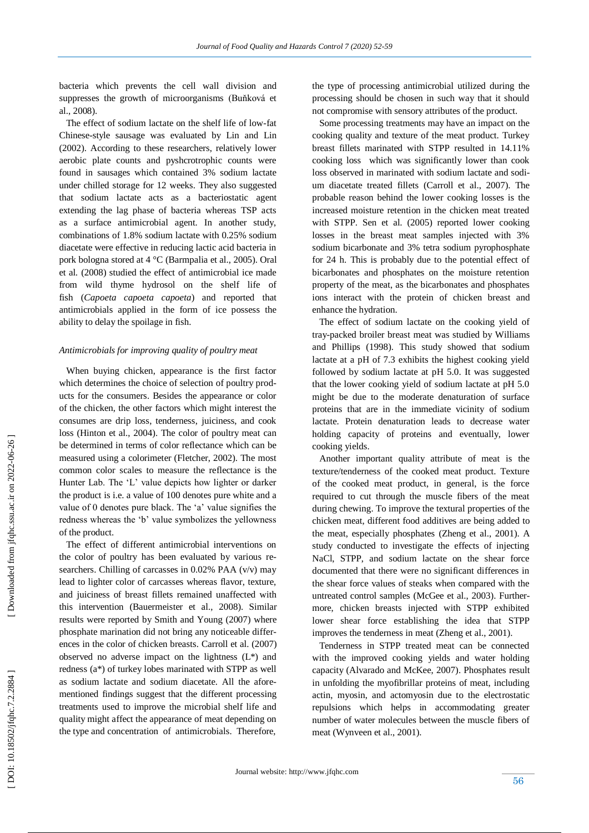bacteria which prevents the cell wall division and suppresses the growth of microorganisms (Buňková et al ., 2008).

 The effect of sodium lactate on the shelf life of low -fat Chinese -style sausage was evaluated by Lin and Lin (2002). According to these researchers, relatively lower aerobic plate counts and pyshcrotrophic counts were found in sausages which contained 3% sodium lactate under chilled storage for 12 weeks. They also suggested that sodium lactate acts as a bacteriostatic agent extending the lag phase of bacteria whereas TSP acts as a surface antimicrobial agent. In another study, combinations of 1.8% sodium lactate with 0.25% sodium diacetate were effective in reducing lactic acid bacteria in pork bologna stored at 4 °C (Barmpalia et al ., 2005). Oral et al *.* (2008) studied the effect of antimicrobial ice made from wild thyme hydrosol on the shelf life of fish (*Capoeta capoeta capoeta*) and reported that antimicrobials applied in the form of ice possess the ability to delay the spoilage in fish.

## *Antimicrobials for improving quality of poultry meat*

 When buying chicken, appearance is the first factor which determines the choice of selection of poultry products for the consumers. Besides the appearance or color of the chicken, the other factors which might interest the consumes are drip loss, tenderness, juiciness, and cook loss (Hinton et al., 2004). The color of poultry meat can be determined in terms of color reflectance which can be measured using a colorimeter (Fletcher, 2002). The most common color scales to measure the reflectance is the Hunter Lab. The 'L' value depicts how lighter or darker the product is i.e. a value of 100 denotes pure white and a value of 0 denotes pure black. The 'a' value signifies the redness whereas the 'b' value symbolizes the yellowness of the product.

 The effect of different antimicrobial interventions on the color of poultry has been evaluated by various researchers. Chilling of carcasses in 0.02% PAA (v/v) may lead to lighter color of carcasses whereas flavor, texture, and juiciness of breast fillets remained unaffected with this intervention (Bauermeister et al ., 2008). Similar results were reported by Smith and Young (2007) where phosphate marination did not bring any noticeable differences in the color of chicken breasts. Carroll et al. (2007) observed no adverse impact on the lightness (L\*) and redness (a\*) of turkey lobes marinated with STPP as well as sodium lactate and sodium diacetate. All the aforementioned findings suggest that the different processing treatments used to improve the microbial shelf life and quality might affect the appearance of meat depending on the type and concentration of antimicrobials. Therefore,

the type of processing antimicrobial utilized during the processing should be chosen in such way that it should not compromise with sensory attributes of the product.

 Some processing treatments may have an impact on the cooking quality and texture of the meat product. Turkey breast fillets marinated with STPP resulted in 14.11% cooking loss which was significantly lower than cook loss observed in marinated with sodium lactate and sodium diacetate treated fillets (Carroll et al., 2007). The probable reason behind the lower cooking losses is the increased moisture retention in the chicken meat treated with STPP. Sen et al *.* (2005) reported lower cooking losses in the breast meat samples injected with 3% sodium bicarbonate and 3% tetra sodium pyrophosphate for 24 h. This is probably due to the potential effect of bicarbonates and phosphates on the moisture retention property of the meat, as the bicarbonates and phosphates ions interact with the protein of chicken breast and enhance the hydration.

 The effect of sodium lactate on the cooking yield of tray -packed broiler breast meat was studied by Williams and Phillips (1998). This study showed that sodium lactate at a pH of 7.3 exhibits the highest cooking yield followed by sodium lactate at pH 5.0. It was suggested that the lower cooking yield of sodium lactate at pH 5.0 might be due to the moderate denaturation of surface proteins that are in the immediate vicinity of sodium lactate. Protein denaturation leads to decrease water holding capacity of proteins and eventually, lower cooking yields.

 Another important quality attribute of meat is the texture/tenderness of the cooked meat product. Texture of the cooked meat product, in general, is the force required to cut through the muscle fibers of the meat during chewing. To improve the textural properties of the chicken meat, different food additives are being added to the meat, especially phosphates (Zheng et al ., 2001). A study conducted to investigate the effects of injecting NaCl, STPP, and sodium lactate on the shear force documented that there were no significant differences in the shear force values of steaks when compared with the untreated control samples (McGee et al ., 2003). Furthermore, chicken breasts injected with STPP exhibited lower shear force establishing the idea that STPP improves the tenderness in meat (Zheng et al ., 2001).

 Tenderness in STPP treated meat can be connected with the improved cooking yields and water holding capacity (Alvarado and McKee, 2007). Phosphates result in unfolding the myofibrillar proteins of meat, including actin, myosin, and actomyosin due to the electrostatic repulsions which helps in accommodating greater number of water molecules between the muscle fibers of meat (Wynveen et al., 2001).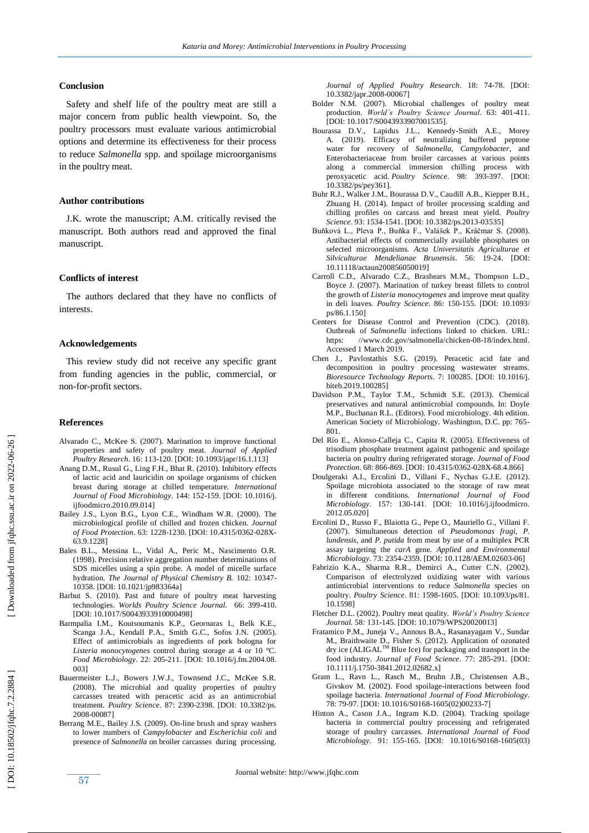## **Conclusion**

 Safety and shelf life of the poultry meat are still a major concern from public health viewpoint. So, the poultry processors must evaluate various antimicrobial options and determine its effectiveness for their process to reduce *Salmonella* spp. and spoilage microorganisms in the poultry meat.

## **Author contributions**

 J.K. wrote the manuscript; A.M. critically revised the manuscript. Both authors read and approved the final manuscript.

#### **Conflicts of interest**

 The authors declared that they have no conflicts of interests.

#### **Acknowledgements**

 This review study did not receive any specific grant from funding agencies in the public, commercial, or non -for -profit sectors.

#### **Reference s**

- Alvarado C., McKee S. (2007). Marination to improve functional properties and safety of poultry meat. *Journal of Applied Poultry Research*. 16: 113 -120. [DOI: 10.1093/japr/16.1.113]
- Anang D.M., Rusul G., Ling F.H., Bhat R. (2010). Inhibitory effects of lactic acid and lauricidin on spoilage organisms of chicken breast during storage at chilled temperature. *International Journal of Food Microbiology*. 144: 152 -159. [DOI: [10.1016/j.](https://doi.org/10.1016/j.ijfoodmicro.2010.09.014) [ijfoodmicro.2010.09.014](https://doi.org/10.1016/j.ijfoodmicro.2010.09.014) ]
- Bailey J.S., Lyon B.G., Lyon C.E., Windham W.R. (2000). The microbiological profile of chilled and frozen chicken. *Journal*  of Food Protection. 63: 1228-1230. [DOI: [10.4315/0362](https://doi.org/10.4315/0362-028X-63.9.1228)-028X-[63.9.1228](https://doi.org/10.4315/0362-028X-63.9.1228) ]
- Bales B.L., Messina L., Vidal A., Peric M., Nascimento O.R. (1998). Precision relative aggregation number determinations of SDS micelles using a spin probe. A model of micelle surface hydration. *The Journal of Physical Chemistry B.* 102: 10347 - 10358. [DOI: [10.1021/jp983364a](https://doi.org/10.1021/jp983364a) ]
- Barbut S. (2010). Past and future of poultry meat harvesting technologies. Worlds Poultry Science Journal. 66: 399-410. [DOI: 10.1017/S0043933910000498]
- Barmpalia I.M., Koutsoumanis K.P., Geornaras I., Belk K.E., Scanga J.A., Kendall P.A., Smith G.C., Sofos J.N. (2005). Effect of antimicrobials as ingredients of pork bologna for *Listeria monocytogenes* control during storage at 4 or 10 °C. *Food Microbiology*. 22: 205 -211. [DOI: [10.1016/j.fm.2004.08.](https://doi.org/10.1016/j.fm.2004.08.003) [003](https://doi.org/10.1016/j.fm.2004.08.003) ]
- Bauermeister L.J., Bowers J.W.J., Townsend J.C., McKee S.R. (2008). The microbial and quality properties of poultry carcasses treated with peracetic acid as an antimicrobial treatment. *Poultry Science*. 87: 2390 -2398. [DOI: 10.3382/ps. 2008 -00087]
- Berrang M.E., Bailey J.S. (2009). On -line brush and spray washers to lower numbers of *Campylobacter* and *Escherichia coli* and presence of *Salmonella* on broiler carcasses during processing.

*Journal of Applied Poultry Research*. 18: 74 -78. [DOI: 10.3382/japr.2008 -00067]

- Bolder N.M. (2007). Microbial challenges of poultry meat production. World's Poultry Science Journal. 63: 401-411. [DOI: 10.1017/S0043933907001535].
- Bourassa D.V., Lapidus J.L., Kennedy -Smith A.E ., Morey A. (2019). Efficacy of neutralizing buffered peptone water for recovery of *Salmonella*, *Campylobacter*, and Enterobacteriaceae from broiler carcasses at various points along a commercial immersion chilling process with peroxyacetic acid. *Poultry Science*. 98: 393 -397. [DOI: 10.3382/ps/pey361].
- Buhr R.J., Walker J.M., Bourassa D.V., Caudill A.B., Kiepper B.H., Zhuang H. (2014). Impact of broiler processing scalding and chilling profiles on carcass and breast meat yield. *Poultry*  Science. 93: 1534-1541. [DOI: 10.3382/ps.2013-03535]
- Buňková L., Pleva P., Buňka F., Valášek P., Kráčmar S. (2008). Antibacterial effects of commercially available phosphates on selected microorganisms. *Acta Universitatis Agriculturae et Silviculturae Mendelianae Brunensis*. 56: 19 -24. [DOI: 10.11118/actaun200856050019]
- Carroll C.D., Alvarado C.Z., Brashears M.M., Thompson L.D., Boyce J. (2007). Marination of turkey breast fillets to control the growth of *Listeria monocytogenes* and improve meat quality in deli loaves. *Poultry Science*. 86: 150 -155. [DOI: 10.1093/ ps/86.1.150]
- Centers for Disease Control and Prevention (CDC). (2018). Outbreak of *Salmonella* infections linked to chicken. URL: https: //www.cdc.gov/salmonella/chicken-08-18/index.html. Accessed 1 March 2019.
- Chen J., Pavlostathis S.G. (2019). Peracetic acid fate and decomposition in poultry processing wastewater streams. *Bioresource Technology Reports*. 7: 100285. [DOI: 10.1016/j. biteb.2019.100285]
- Davidson P.M., Taylor T.M., Schmidt S.E. (2013). Chemical preservatives and natural antimicrobial compounds. In: Doyle M.P., Buchanan R.L. (Editors). Food microbiology. 4th edition. American Society of Microbiology. Washington, D.C. pp: 765 - 801.
- Del Río E., Alonso -Calleja C., Capita R. (2005). Effectiveness of trisodium phosphate treatment against pathogenic and spoilage bacteria on poultry during refrigerated storage. *Journal of Food*  Protection. 68: 866-869. [DOI[: 10.4315/0362](https://doi.org/10.4315/0362-028X-68.4.866)-028X-68.4.866]
- Doulgeraki A.I., Ercolini D., Villani F., Nychas G.J.E. (2012). Spoilage microbiota associated to the storage of raw meat in different conditions. *International Journal of Food Microbiology*. 157: 130 -141. [DOI: [10.1016/j.ijfoodmicro.](https://doi.org/10.1016/j.ijfoodmicro.2012.05.020) [2012.05.020](https://doi.org/10.1016/j.ijfoodmicro.2012.05.020) ]
- Ercolini D., Russo F., Blaiotta G., Pepe O., Mauriello G., Villani F. (2007). Simultaneous detection of *Pseudomonas fragi*, *P. lundensis*, and *P. putida* from meat by use of a multiplex PCR assay targeting the *carA* gene. *Applied and Environmental Microbiology*. 73: 2354 -2359. [DOI: 10.1128/AEM.02603 -06]
- Fabrizio K.A., Sharma R.R., Demirci A., Cutter C.N. (2002). Comparison of electrolyzed oxidizing water with various antimicrobial interventions to reduce *Salmonella* species on poultry. *Poultry Science*. 81: 1598 -1605. [DOI: 10.1093/ps/81. 10.1598]
- Fletcher D.L. (2002). Poultry meat quality. *World's Poultry Science Journal.* 58 *:* 131 -145. [DOI: 10.1079/WPS20020013]
- Fratamico P.M., Juneja V., Annous B.A., Rasanayagam V., Sundar M., Braithwaite D., Fisher S. (2012). Application of ozonated dry ice (ALIGAL<sup>™</sup> Blue Ice) for packaging and transport in the food industry. *Journal of Food Science*. 77: 285 -291. [DOI: 10.1111/j.1750 [-3841.2012.02682.x](https://doi.org/10.1111/j.1750-3841.2012.02682.x) ]
- Gram L., Ravn L., Rasch M., Bruhn J.B., Christensen A.B., Givskov M. (2002). Food spoilage -interactions between food spoilage bacteria. *International Journal of Food Microbiology*. 78: 79-97. [DOI: 10.1016/S0168[-1605\(02\)00233](https://doi.org/10.1016/S0168-1605\(02\)00233-7)-7]
- Hinton A., Cason J.A ., Ingram K.D. (2004). Tracking spoilage bacteria in commercial poultry processing and refrigerated storage of poultry carcasses. *International Journal of Food Microbiology*. 91: 155 -165. [DOI: 10.1016/S0168 -1605(03)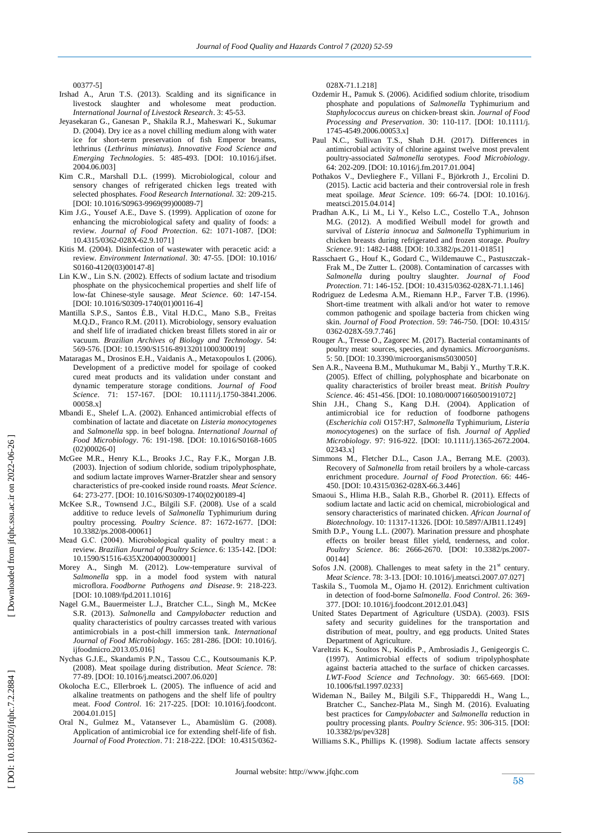00377 -5]

- Irshad A., Arun T.S. (2013). Scalding and its significance in livestock slaughter and wholesome meat production. *International Journal of Livestock Research*. 3: 45 -53.
- Jeyasekaran G., Ganesan P., Shakila R.J., Maheswari K., Sukumar D. (2004). Dry ice as a novel chilling medium along with water ice for short -term preservation of fish Emperor breams, lethrinus (*Lethrinus miniatus*). *Innovative Food Science and Emerging Technologies*. 5: 485 -493. [DOI: [10.1016/j.ifset.](https://doi.org/10.1016/j.ifset.2004.06.003) [2004.06.003](https://doi.org/10.1016/j.ifset.2004.06.003) ]
- Kim C.R., Marshall D.L. (1999). Microbiological, colour and sensory changes of refrigerated chicken legs treated with selected phosphates. Food Research International. 32: 209-215. [DOI: 10.1016/S0963[-9969\(99\)00089](https://doi.org/10.1016/S0963-9969\(99\)00089-7)-7]
- Kim J.G., Yousef A.E ., Dave S. (1999). Application of ozone for enhancing the microbiological safety and quality of foods: a review. *Journal of Food Protection*. 62: 1071 -1087. [DOI: [10.4315/0362](https://doi.org/10.4315/0362-028X-62.9.1071) -028X -62.9.1071 ]
- Kitis M. (2004). Disinfection of wastewater with peracetic acid: a review. *Environment International*. 30: 47 -55. [DOI: [10.1016/](https://doi.org/10.1016/S0160-4120\(03\)00147-8) S0160[-4120\(03\)00147](https://doi.org/10.1016/S0160-4120\(03\)00147-8)-8]
- Lin K.W., Lin S.N. (2002). Effects of sodium lactate and trisodium phosphate on the physicochemical properties and shelf life of low -fat Chinese -style sausage. *Meat Science*. 60: 147 -154. [DOI: 10.1016/S0309[-1740\(01\)00116](https://doi.org/10.1016/S0309-1740\(01\)00116-4)-4]
- Mantilla S.P.S., Santos É.B., Vital H.D.C., Mano S.B., Freitas M.Q.D ., Franco R.M. (2011). Microbiology, sensory evaluation and shelf life of irradiated chicken breast fillets stored in air or vacuum. *Brazilian Archives of Biology and Technology*. 54: 569 -576. [DOI: 10.1590/S1516 -89132011000300019]
- Mataragas M., Drosinos E.H., Vaidanis A., Metaxopoulos I. (2006). Development of a predictive model for spoilage of cooked cured meat products and its validation under constant and dynamic temperature storage conditions. *Journal of Food Science*. 71: 157 -167. [DOI: [10.1111/j.1750](https://doi.org/10.1111/j.1750-3841.2006.00058.x) -3841.2006. [00058.x](https://doi.org/10.1111/j.1750-3841.2006.00058.x) ]
- Mbandi E., Shelef L.A. (2002). Enhanced antimicrobial effects of combination of lactate and diacetate on *Listeria monocytogenes* and *Salmonella* spp. in beef bologna. *International Journal of Food Microbiology*. 76: 191 -198. [DOI: [10.1016/S0168](https://doi.org/10.1016/S0168-1605\(02\)00026-0) -1605  $(02)00026 - 0]$  $(02)00026 - 0]$
- McGee M.R., Henry K.L., Brooks J.C., Ray F.K., Morgan J.B. (2003). Injection of sodium chloride, sodium tripolyphosphate, and sodium lactate improves Warner -Bratzler shear and sensory characteristics of pre -cooked inside round roasts. *Meat Science*. 64: 273 -277. [DOI: 10.1016/S0309 [-1740\(02\)00189](https://doi.org/10.1016/S0309-1740\(02\)00189-4) - 4 ]
- McKee S.R., Townsend J.C ., Bilgili S.F. (2008). Use of a scald additive to reduce levels of *Salmonella* Typhimurium during poultry processing. *Poultry Science*. 87: 1672 -1677. [DOI: 10.3382/ps.2008 -00061]
- Mead G.C. (2004). Microbiological quality of poultry meat: a review. *Brazilian Journal of Poultry Science*. 6: 135 -142. [DOI: 10.1590/S1516 -635X2004000300001]
- Morey A., Singh M. (2012). Low -temperature survival of *Salmonella* spp. in a model food system with natural microflora. *Foodborne Pathogens and Disease* . 9: 218 -223. [DOI: 10.1089/fpd.2011.1016]
- Nagel G.M., Bauermeister L.J., Bratcher C.L., Singh M., McKee S.R. (2013). *Salmonella* and *Campylobacter* reduction and quality characteristics of poultry carcasses treated with various antimicrobials in a post -chill immersion tank. *International Journal of Food Microbiology*. 165: 281 -286. [DOI: [10.1016/j.](https://doi.org/10.1016/j.ijfoodmicro.2013.05.016) [ijfoodmicro.2013.05.016](https://doi.org/10.1016/j.ijfoodmicro.2013.05.016) ]
- Nychas G.J.E., Skandamis P.N., Tassou C.C., Koutsoumanis K.P. (2008). Meat spoilage during distribution. *Meat Science*. 78: 77 -89. [DOI: [10.1016/j.meatsci.2007.06.020](https://doi.org/10.1016/j.meatsci.2007.06.020) ]
- Okolocha E.C., Ellerbroek L. (2005). The influence of acid and alkaline treatments on pathogens and the shelf life of poultry meat. *Food Control*. 16: 217 -225. [DOI: [10.1016/j.foodcont.](https://doi.org/10.1016/j.foodcont.2004.01.015) [2004.01.015](https://doi.org/10.1016/j.foodcont.2004.01.015) ]
- Oral N., Gulmez M., Vatansever L., Abamüslüm G. (2008). Application of antimicrobial ice for extending shelf -life of fish. *Journal of Food Protection*. 71: 218 -222. [DOI: [10.4315/0362](https://doi.org/10.4315/0362-028X-71.1.218) -

028X [-71.1.218](https://doi.org/10.4315/0362-028X-71.1.218) ]

- Ozdemir H., Pamuk S. (2006). Acidified sodium chlorite, trisodium phosphate and populations of *Salmonella* Typhimurium and *Staphylococcus aureus* on chicken ‐breast skin. *Journal of Food Processing and Preservation*. 30: 110 -117. [DOI: [10.1111/j.](https://doi.org/10.1111/j.1745-4549.2006.00053.x) 1745 [-4549.2006.00053.x](https://doi.org/10.1111/j.1745-4549.2006.00053.x) ]
- Paul N.C., Sullivan T.S., Shah D.H. (2017). Differences in antimicrobial activity of chlorine against twelve most prevalent poultry -associated *Salmonella* serotypes. *Food Microbiology*. 64: 202 -209. [DOI: 10.1016/j.fm.2017.01.004]
- Pothakos V., Devlieghere F., Villani F., Björkroth J., Ercolini D. (2015). Lactic acid bacteria and their controversial role in fresh meat spoilage. *Meat Science*. 109: 66 -74. [DOI: [10.1016/j.](https://doi.org/10.1016/j.meatsci.2015.04.014) [meatsci.2015.04.014](https://doi.org/10.1016/j.meatsci.2015.04.014) ]
- Pradhan A.K., Li M., Li Y., Kelso L.C., Costello T.A., Johnson M.G. (2012). A modified Weibull model for growth and survival of *Listeria innocua* and *Salmonella* Typhimurium in chicken breasts during refrigerated and frozen storage. *Poultry Science*. 91: 1482 -1488. [DOI: 10.3382/ps.2011 -01851]
- Rasschaert G., Houf K., Godard C., Wildemauwe C., Pastuszczak Frak M., De Zutter L. (2008). Contamination of carcasses with *Salmonella* during poultry slaughter. *Journal of Food*  Protection. 71: 146-152. [DOI[: 10.4315/0362](https://doi.org/10.4315/0362-028X-71.1.146)-028X-71.1.146]
- Rodriguez de Ledesma A.M., Riemann H.P., Farver T.B. (1996). Short -time treatment with alkali and/or hot water to remove common pathogenic and spoilage bacteria from chicken wing skin. *Journal of Food Protection*. 59: 746 -750. [DOI: [10.4315/](https://doi.org/10.4315/0362-028X-59.7.746) 0362-028X[-59.7.746](https://doi.org/10.4315/0362-028X-59.7.746)]
- Rouger A., Tresse O., Zagorec M. (2017). Bacterial contaminants of poultry meat: sources, species, and dynamics. *Microorganisms*. 5: 50. [DOI[: 10.3390/microorganisms5030050](https://doi.org/10.3390/microorganisms5030050) ]
- Sen A.R., Naveena B.M., Muthukumar M., Babji Y., Murthy T.R.K. (2005). Effect of chilling, polyphosphate and bicarbonate on quality characteristics of broiler breast meat. *British Poultry Science*. 46: 451 -456. [DOI[: 10.1080/00071660500191072](https://doi.org/10.1080/00071660500191072) ]
- Shin J.H., Chang S., Kang D.H. (2004). Application of antimicrobial ice for reduction of foodborne pathogens (*Escherichia coli* O157:H7, *Salmonella* Typhimurium, *Listeria monocytogenes*) on the surface of fish. *Journal of Applied Microbiology*. 97: 916 -922. [DOI: 10.1111/j.1365 -2672.2004. 02343.x]
- Simmons M., Fletcher D.L., Cason J.A., Berrang M.E. (2003). Recovery of *Salmonella* from retail broilers by a whole -carcass enrichment procedure. *Journal of Food Protection*. 66: 446 - 450. [DOI: [10.4315/0362](https://doi.org/10.4315/0362-028X-66.3.446) -028X -66.3.446 ]
- Smaoui S., Hlima H.B., Salah R.B., Ghorbel R. (2011). Effects of sodium lactate and lactic acid on chemical, microbiological and sensory characteristics of marinated chicken. *African Journal of Biotechnology*. 10: 11317 -11326. [DOI[: 10.5897/AJB11.1249](http://dx.doi.org/10.5897/AJB11.1249) ]
- Smith D.P., Young L.L. (2007). Marination pressure and phosphate effects on broiler breast fillet yield, tenderness, and color. Poultry Science. 86: 2666-2670. [DOI: 10.3382/ps.2007-00144]
- Sofos J.N. (2008). Challenges to meat safety in the  $21<sup>st</sup>$  century. *Meat Science*. 78: 3 -13. [DOI: 10.1016/j.meatsci.2007.07.027]
- Taskila S., Tuomola M., Ojamo H. (2012). Enrichment cultivation in detection of food -borne *Salmonella*. *Food Control*. 26: 369 - 377. [DOI: [10.1016/j.foodcont.2012.01.043](https://doi.org/10.1016/j.foodcont.2012.01.043) ]
- United States Department of Agriculture (USDA). (2003). FSIS safety and security guidelines for the transportation and distribution of meat, poultry, and egg products. United States Department of Agriculture.
- Vareltzis K., Soultos N., Koidis P., Ambrosiadis J., Genigeorgis C. (1997). Antimicrobial effects of sodium tripolyphosphate against bacteria attached to the surface of chicken carcasses. *LWT-Food Science and Technology*. 30: 665 -669. [DOI: [10.1006/fstl.1997.0233](https://doi.org/10.1006/fstl.1997.0233) ]
- Wideman N., Bailey M., Bilgili S.F., Thippareddi H., Wang L., Bratcher C., Sanchez -Plata M., Singh M. (2016). Evaluating best practices for *Campylobacter* and *Salmonella* reduction in poultry processing plants. *Poultry Science*. 95: 306 -315. [DOI: 10.3382/ps/pev328]
- Williams S.K., Phillips K. (1998). Sodium lactate affects sensory